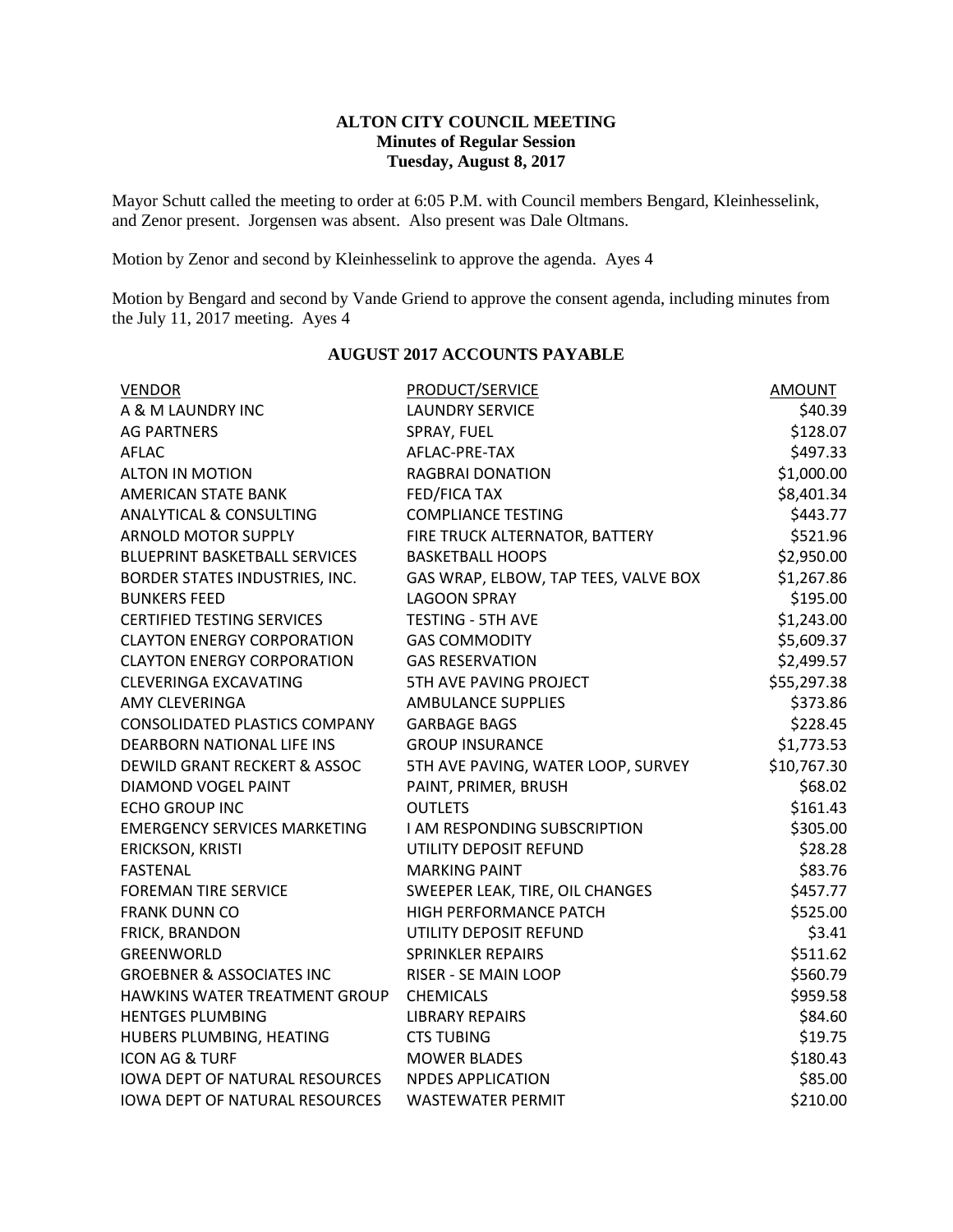## **ALTON CITY COUNCIL MEETING Minutes of Regular Session Tuesday, August 8, 2017**

Mayor Schutt called the meeting to order at 6:05 P.M. with Council members Bengard, Kleinhesselink, and Zenor present. Jorgensen was absent. Also present was Dale Oltmans.

Motion by Zenor and second by Kleinhesselink to approve the agenda. Ayes 4

Motion by Bengard and second by Vande Griend to approve the consent agenda, including minutes from the July 11, 2017 meeting. Ayes 4

| <b>VENDOR</b>                         | <b>PRODUCT/SERVICE</b>               | <b>AMOUNT</b> |
|---------------------------------------|--------------------------------------|---------------|
| A & M LAUNDRY INC                     | <b>LAUNDRY SERVICE</b>               | \$40.39       |
| <b>AG PARTNERS</b>                    | SPRAY, FUEL                          | \$128.07      |
| <b>AFLAC</b>                          | AFLAC-PRE-TAX                        | \$497.33      |
| <b>ALTON IN MOTION</b>                | <b>RAGBRAI DONATION</b>              | \$1,000.00    |
| AMERICAN STATE BANK                   | FED/FICA TAX                         | \$8,401.34    |
| <b>ANALYTICAL &amp; CONSULTING</b>    | <b>COMPLIANCE TESTING</b>            | \$443.77      |
| <b>ARNOLD MOTOR SUPPLY</b>            | FIRE TRUCK ALTERNATOR, BATTERY       | \$521.96      |
| <b>BLUEPRINT BASKETBALL SERVICES</b>  | <b>BASKETBALL HOOPS</b>              | \$2,950.00    |
| BORDER STATES INDUSTRIES, INC.        | GAS WRAP, ELBOW, TAP TEES, VALVE BOX | \$1,267.86    |
| <b>BUNKERS FEED</b>                   | <b>LAGOON SPRAY</b>                  | \$195.00      |
| <b>CERTIFIED TESTING SERVICES</b>     | <b>TESTING - 5TH AVE</b>             | \$1,243.00    |
| <b>CLAYTON ENERGY CORPORATION</b>     | <b>GAS COMMODITY</b>                 | \$5,609.37    |
| <b>CLAYTON ENERGY CORPORATION</b>     | <b>GAS RESERVATION</b>               | \$2,499.57    |
| <b>CLEVERINGA EXCAVATING</b>          | 5TH AVE PAVING PROJECT               | \$55,297.38   |
| <b>AMY CLEVERINGA</b>                 | <b>AMBULANCE SUPPLIES</b>            | \$373.86      |
| <b>CONSOLIDATED PLASTICS COMPANY</b>  | <b>GARBAGE BAGS</b>                  | \$228.45      |
| DEARBORN NATIONAL LIFE INS            | <b>GROUP INSURANCE</b>               | \$1,773.53    |
| DEWILD GRANT RECKERT & ASSOC          | 5TH AVE PAVING, WATER LOOP, SURVEY   | \$10,767.30   |
| DIAMOND VOGEL PAINT                   | PAINT, PRIMER, BRUSH                 | \$68.02       |
| <b>ECHO GROUP INC</b>                 | <b>OUTLETS</b>                       | \$161.43      |
| <b>EMERGENCY SERVICES MARKETING</b>   | I AM RESPONDING SUBSCRIPTION         | \$305.00      |
| ERICKSON, KRISTI                      | UTILITY DEPOSIT REFUND               | \$28.28       |
| <b>FASTENAL</b>                       | <b>MARKING PAINT</b>                 | \$83.76       |
| <b>FOREMAN TIRE SERVICE</b>           | SWEEPER LEAK, TIRE, OIL CHANGES      | \$457.77      |
| <b>FRANK DUNN CO</b>                  | HIGH PERFORMANCE PATCH               | \$525.00      |
| FRICK, BRANDON                        | UTILITY DEPOSIT REFUND               | \$3.41        |
| GREENWORLD                            | <b>SPRINKLER REPAIRS</b>             | \$511.62      |
| <b>GROEBNER &amp; ASSOCIATES INC</b>  | RISER - SE MAIN LOOP                 | \$560.79      |
| HAWKINS WATER TREATMENT GROUP         | <b>CHEMICALS</b>                     | \$959.58      |
| <b>HENTGES PLUMBING</b>               | <b>LIBRARY REPAIRS</b>               | \$84.60       |
| HUBERS PLUMBING, HEATING              | <b>CTS TUBING</b>                    | \$19.75       |
| <b>ICON AG &amp; TURF</b>             | <b>MOWER BLADES</b>                  | \$180.43      |
| <b>IOWA DEPT OF NATURAL RESOURCES</b> | <b>NPDES APPLICATION</b>             | \$85.00       |
| <b>IOWA DEPT OF NATURAL RESOURCES</b> | <b>WASTEWATER PERMIT</b>             | \$210.00      |

## **AUGUST 2017 ACCOUNTS PAYABLE**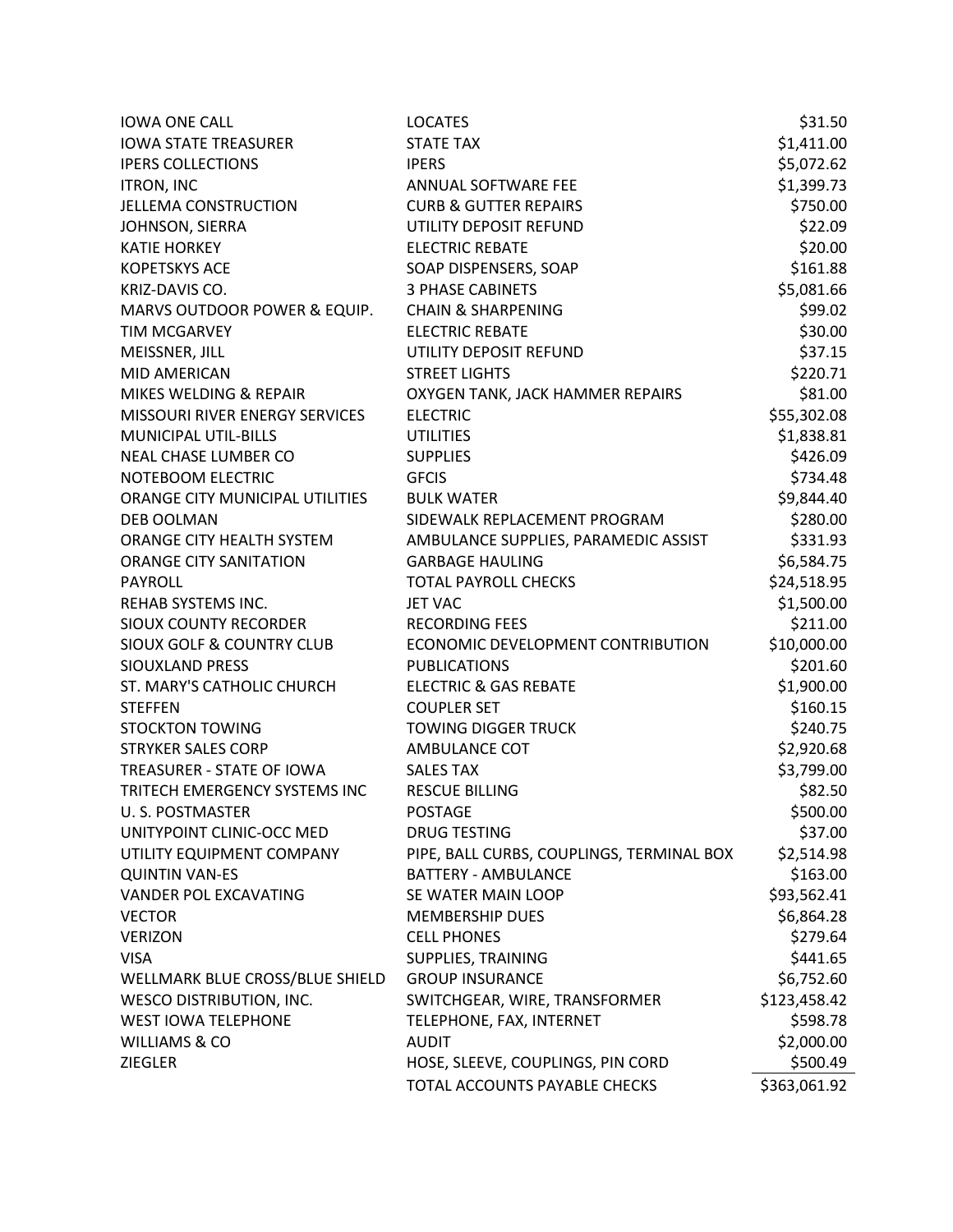| <b>IOWA ONE CALL</b>                 | <b>LOCATES</b>                            | \$31.50      |
|--------------------------------------|-------------------------------------------|--------------|
| <b>IOWA STATE TREASURER</b>          | <b>STATE TAX</b>                          | \$1,411.00   |
| <b>IPERS COLLECTIONS</b>             | <b>IPERS</b>                              | \$5,072.62   |
| <b>ITRON, INC</b>                    | ANNUAL SOFTWARE FEE                       | \$1,399.73   |
| <b>JELLEMA CONSTRUCTION</b>          | <b>CURB &amp; GUTTER REPAIRS</b>          | \$750.00     |
| JOHNSON, SIERRA                      | UTILITY DEPOSIT REFUND                    | \$22.09      |
| <b>KATIE HORKEY</b>                  | <b>ELECTRIC REBATE</b>                    | \$20.00      |
| <b>KOPETSKYS ACE</b>                 | SOAP DISPENSERS, SOAP                     | \$161.88     |
| KRIZ-DAVIS CO.                       | <b>3 PHASE CABINETS</b>                   | \$5,081.66   |
| MARVS OUTDOOR POWER & EQUIP.         | <b>CHAIN &amp; SHARPENING</b>             | \$99.02      |
| <b>TIM MCGARVEY</b>                  | <b>ELECTRIC REBATE</b>                    | \$30.00      |
| MEISSNER, JILL                       | UTILITY DEPOSIT REFUND                    | \$37.15      |
| <b>MID AMERICAN</b>                  | <b>STREET LIGHTS</b>                      | \$220.71     |
| MIKES WELDING & REPAIR               | OXYGEN TANK, JACK HAMMER REPAIRS          | \$81.00      |
| MISSOURI RIVER ENERGY SERVICES       | <b>ELECTRIC</b>                           | \$55,302.08  |
| MUNICIPAL UTIL-BILLS                 | <b>UTILITIES</b>                          | \$1,838.81   |
| NEAL CHASE LUMBER CO                 | <b>SUPPLIES</b>                           | \$426.09     |
| NOTEBOOM ELECTRIC                    | <b>GFCIS</b>                              | \$734.48     |
| ORANGE CITY MUNICIPAL UTILITIES      | <b>BULK WATER</b>                         | \$9,844.40   |
| <b>DEB OOLMAN</b>                    | SIDEWALK REPLACEMENT PROGRAM              | \$280.00     |
| ORANGE CITY HEALTH SYSTEM            | AMBULANCE SUPPLIES, PARAMEDIC ASSIST      | \$331.93     |
| ORANGE CITY SANITATION               | <b>GARBAGE HAULING</b>                    | \$6,584.75   |
| <b>PAYROLL</b>                       | <b>TOTAL PAYROLL CHECKS</b>               | \$24,518.95  |
| REHAB SYSTEMS INC.                   | <b>JET VAC</b>                            | \$1,500.00   |
| <b>SIOUX COUNTY RECORDER</b>         | <b>RECORDING FEES</b>                     | \$211.00     |
| <b>SIOUX GOLF &amp; COUNTRY CLUB</b> | ECONOMIC DEVELOPMENT CONTRIBUTION         | \$10,000.00  |
| <b>SIOUXLAND PRESS</b>               | <b>PUBLICATIONS</b>                       | \$201.60     |
| ST. MARY'S CATHOLIC CHURCH           | <b>ELECTRIC &amp; GAS REBATE</b>          | \$1,900.00   |
| <b>STEFFEN</b>                       | <b>COUPLER SET</b>                        | \$160.15     |
| <b>STOCKTON TOWING</b>               | <b>TOWING DIGGER TRUCK</b>                | \$240.75     |
| <b>STRYKER SALES CORP</b>            | AMBULANCE COT                             | \$2,920.68   |
| TREASURER - STATE OF IOWA            | <b>SALES TAX</b>                          | \$3,799.00   |
| TRITECH EMERGENCY SYSTEMS INC        | <b>RESCUE BILLING</b>                     | \$82.50      |
| U.S. POSTMASTER                      | <b>POSTAGE</b>                            | \$500.00     |
| UNITYPOINT CLINIC-OCC MED            | <b>DRUG TESTING</b>                       | \$37.00      |
| UTILITY EQUIPMENT COMPANY            | PIPE, BALL CURBS, COUPLINGS, TERMINAL BOX | \$2,514.98   |
| <b>QUINTIN VAN-ES</b>                | <b>BATTERY - AMBULANCE</b>                | \$163.00     |
| <b>VANDER POL EXCAVATING</b>         | SE WATER MAIN LOOP                        | \$93,562.41  |
| <b>VECTOR</b>                        | <b>MEMBERSHIP DUES</b>                    | \$6,864.28   |
| <b>VERIZON</b>                       | <b>CELL PHONES</b>                        | \$279.64     |
| <b>VISA</b>                          | SUPPLIES, TRAINING                        | \$441.65     |
| WELLMARK BLUE CROSS/BLUE SHIELD      | <b>GROUP INSURANCE</b>                    | \$6,752.60   |
| WESCO DISTRIBUTION, INC.             | SWITCHGEAR, WIRE, TRANSFORMER             | \$123,458.42 |
| <b>WEST IOWA TELEPHONE</b>           | TELEPHONE, FAX, INTERNET                  | \$598.78     |
| <b>WILLIAMS &amp; CO</b>             | <b>AUDIT</b>                              | \$2,000.00   |
| <b>ZIEGLER</b>                       | HOSE, SLEEVE, COUPLINGS, PIN CORD         | \$500.49     |
|                                      | TOTAL ACCOUNTS PAYABLE CHECKS             | \$363,061.92 |